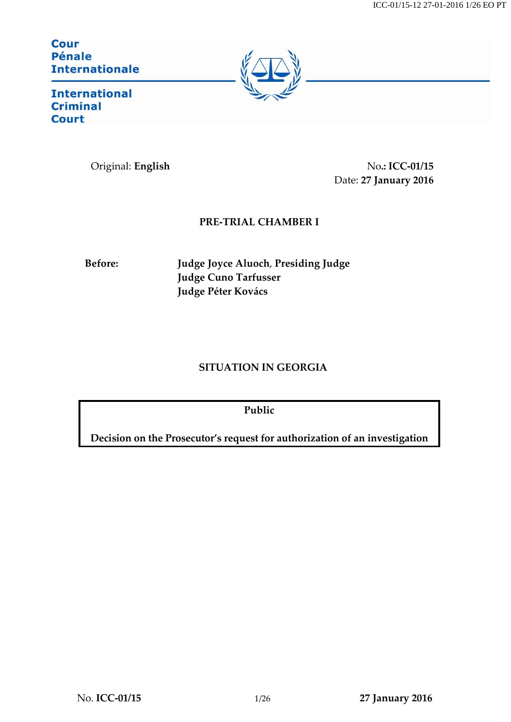ICC-01/15-12 27-01-2016 1/26 EO PT

**Cour Pénale Internationale** 



**International Criminal Court** 

Original: **English** No**.: ICC-01/15** Date: **27 January 2016**

## **PRE-TRIAL CHAMBER I**

**Before: Judge Joyce Aluoch**, **Presiding Judge Judge Cuno Tarfusser Judge Péter Kovács**

# **SITUATION IN GEORGIA**

**Public**

**Decision on the Prosecutor's request for authorization of an investigation**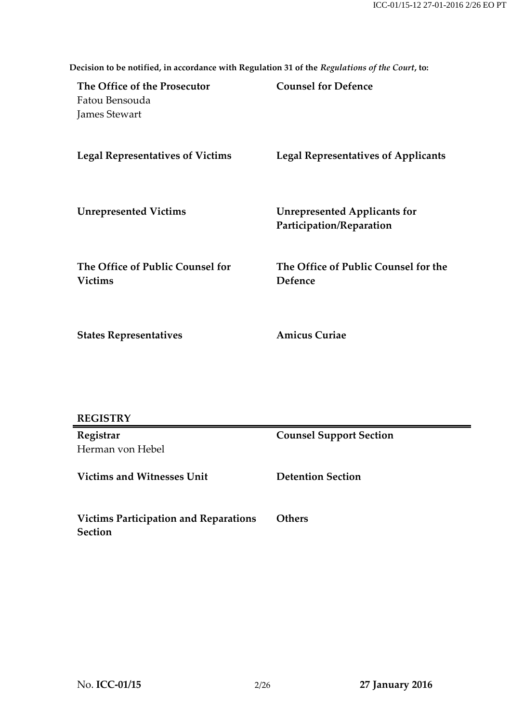| Fatou Bensouda<br>James Stewart                    |                                                                 |
|----------------------------------------------------|-----------------------------------------------------------------|
| <b>Legal Representatives of Victims</b>            | <b>Legal Representatives of Applicants</b>                      |
| <b>Unrepresented Victims</b>                       | <b>Unrepresented Applicants for</b><br>Participation/Reparation |
| The Office of Public Counsel for<br><b>Victims</b> | The Office of Public Counsel for the<br>Defence                 |
| <b>States Representatives</b>                      | <b>Amicus Curiae</b>                                            |
|                                                    |                                                                 |

**Decision to be notified, in accordance with Regulation 31 of the** *Regulations of the Court***, to:**

**Counsel for Defence**

| <b>REGISTRY</b> |
|-----------------|
|-----------------|

**Registrar** Herman von Hebel **Counsel Support Section**

**Victims and Witnesses Unit Detention Section**

**The Office of the Prosecutor**

**Victims Participation and Reparations Section Others**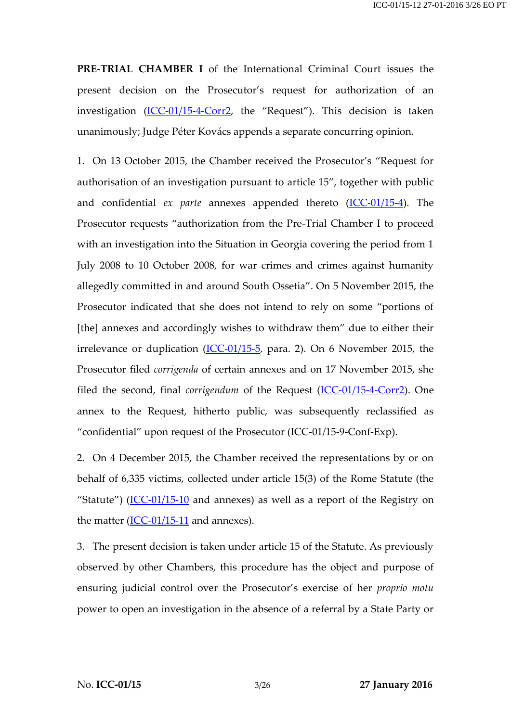**PRE-TRIAL CHAMBER I** of the International Criminal Court issues the present decision on the Prosecutor's request for authorization of an investigation [\(ICC-01/15-4-Corr2](http://www.legal-tools.org/doc/eca741/), the "Request"). This decision is taken unanimously; Judge Péter Kovács appends a separate concurring opinion.

1. On 13 October 2015, the Chamber received the Prosecutor's "Request for authorisation of an investigation pursuant to article 15", together with public and confidential *ex parte* annexes appended thereto [\(ICC-01/15-4\)](http://www.legal-tools.org/doc/460e78). The Prosecutor requests "authorization from the Pre-Trial Chamber I to proceed with an investigation into the Situation in Georgia covering the period from 1 July 2008 to 10 October 2008, for war crimes and crimes against humanity allegedly committed in and around South Ossetia". On 5 November 2015, the Prosecutor indicated that she does not intend to rely on some "portions of [the] annexes and accordingly wishes to withdraw them" due to either their irrelevance or duplication  $(ICC-01/15-5, para. 2)$  $(ICC-01/15-5, para. 2)$ . On 6 November 2015, the Prosecutor filed *corrigenda* of certain annexes and on 17 November 2015, she filed the second, final *corrigendum* of the Request [\(ICC-01/15-4-Corr2\)](http://www.legal-tools.org/doc/eca741/). One annex to the Request, hitherto public, was subsequently reclassified as "confidential" upon request of the Prosecutor (ICC-01/15-9-Conf-Exp).

2. On 4 December 2015, the Chamber received the representations by or on behalf of 6,335 victims, collected under article 15(3) of the Rome Statute (the "Statute")  $(ICC-01/15-10)$  $(ICC-01/15-10)$  $(ICC-01/15-10)$  and annexes) as well as a report of the Registry on the matter  $(ICC-01/15-11)$  $(ICC-01/15-11)$  and annexes).

3. The present decision is taken under article 15 of the Statute. As previously observed by other Chambers, this procedure has the object and purpose of ensuring judicial control over the Prosecutor's exercise of her *proprio motu* power to open an investigation in the absence of a referral by a State Party or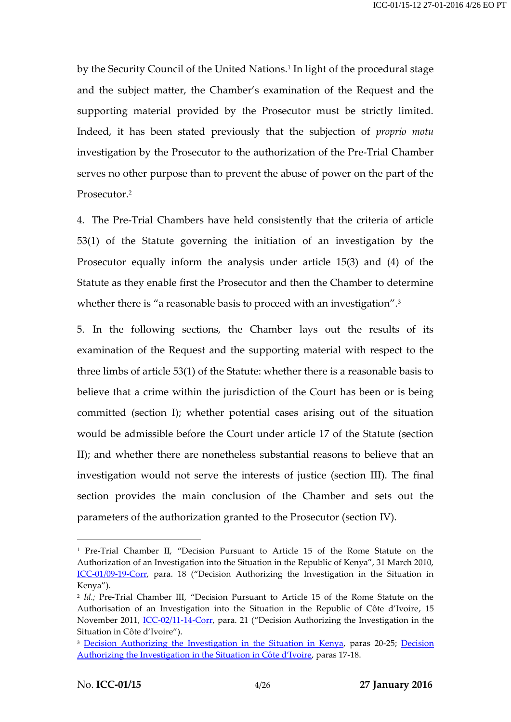by the Security Council of the United Nations.<sup>1</sup> In light of the procedural stage and the subject matter, the Chamber's examination of the Request and the supporting material provided by the Prosecutor must be strictly limited. Indeed, it has been stated previously that the subjection of *proprio motu*  investigation by the Prosecutor to the authorization of the Pre-Trial Chamber serves no other purpose than to prevent the abuse of power on the part of the Prosecutor.<sup>2</sup>

4. The Pre-Trial Chambers have held consistently that the criteria of article 53(1) of the Statute governing the initiation of an investigation by the Prosecutor equally inform the analysis under article 15(3) and (4) of the Statute as they enable first the Prosecutor and then the Chamber to determine whether there is "a reasonable basis to proceed with an investigation".<sup>3</sup>

5. In the following sections, the Chamber lays out the results of its examination of the Request and the supporting material with respect to the three limbs of article 53(1) of the Statute: whether there is a reasonable basis to believe that a crime within the jurisdiction of the Court has been or is being committed (section I); whether potential cases arising out of the situation would be admissible before the Court under article 17 of the Statute (section II); and whether there are nonetheless substantial reasons to believe that an investigation would not serve the interests of justice (section III). The final section provides the main conclusion of the Chamber and sets out the parameters of the authorization granted to the Prosecutor (section IV).

<sup>1</sup> Pre-Trial Chamber II, "Decision Pursuant to Article 15 of the Rome Statute on the Authorization of an Investigation into the Situation in the Republic of Kenya", 31 March 2010, [ICC-01/09-19-Corr](http://www.legal-tools.org/doc/f0caaf/), para. 18 ("Decision Authorizing the Investigation in the Situation in Kenya").

<sup>2</sup> *Id.;* Pre-Trial Chamber III, "Decision Pursuant to Article 15 of the Rome Statute on the Authorisation of an Investigation into the Situation in the Republic of Côte d'Ivoire, 15 November 2011, [ICC-02/11-14-Corr,](http://www.legal-tools.org/doc/e0c0eb/) para. 21 ("Decision Authorizing the Investigation in the Situation in Côte d'Ivoire").

<sup>&</sup>lt;sup>3</sup> [Decision Authorizing the Investigation in the Situation in Kenya,](http://www.legal-tools.org/doc/f0caaf/) paras 20-25; Decision [Authorizing the Investigation in the Situation](http://www.legal-tools.org/doc/e0c0eb/) in Côte d'Ivoire, paras 17-18.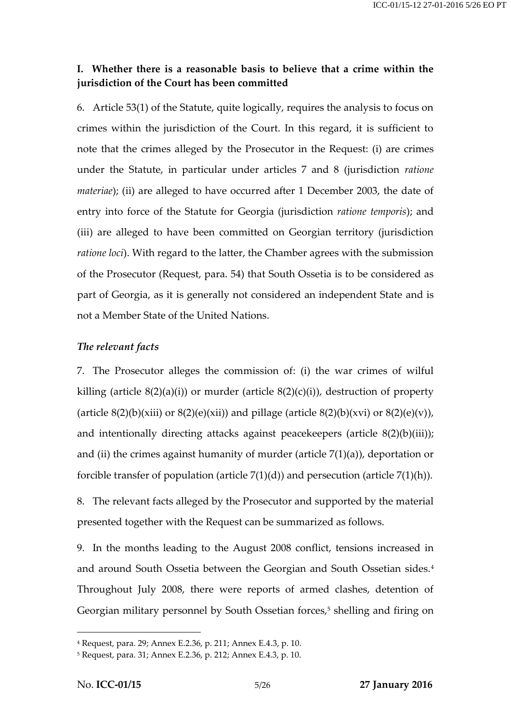### **I. Whether there is a reasonable basis to believe that a crime within the jurisdiction of the Court has been committed**

6. Article 53(1) of the Statute, quite logically, requires the analysis to focus on crimes within the jurisdiction of the Court. In this regard, it is sufficient to note that the crimes alleged by the Prosecutor in the Request: (i) are crimes under the Statute, in particular under articles 7 and 8 (jurisdiction *ratione materiae*); (ii) are alleged to have occurred after 1 December 2003, the date of entry into force of the Statute for Georgia (jurisdiction *ratione temporis*); and (iii) are alleged to have been committed on Georgian territory (jurisdiction *ratione loci*). With regard to the latter, the Chamber agrees with the submission of the Prosecutor (Request, para. 54) that South Ossetia is to be considered as part of Georgia, as it is generally not considered an independent State and is not a Member State of the United Nations.

### *The relevant facts*

7. The Prosecutor alleges the commission of: (i) the war crimes of wilful killing (article  $8(2)(a)(i)$ ) or murder (article  $8(2)(c)(i)$ ), destruction of property (article  $8(2)(b)(xiii)$  or  $8(2)(e)(xi)$ ) and pillage (article  $8(2)(b)(xv)$  or  $8(2)(e)(v)$ ), and intentionally directing attacks against peacekeepers (article 8(2)(b)(iii)); and (ii) the crimes against humanity of murder (article  $7(1)(a)$ ), deportation or forcible transfer of population (article 7(1)(d)) and persecution (article 7(1)(h)).

8. The relevant facts alleged by the Prosecutor and supported by the material presented together with the Request can be summarized as follows.

9. In the months leading to the August 2008 conflict, tensions increased in and around South Ossetia between the Georgian and South Ossetian sides.<sup>4</sup> Throughout July 2008, there were reports of armed clashes, detention of Georgian military personnel by South Ossetian forces,<sup>5</sup> shelling and firing on

<sup>4</sup> Request, para. 29; Annex E.2.36, p. 211; Annex E.4.3, p. 10.

<sup>5</sup> Request, para. 31; Annex E.2.36, p. 212; Annex E.4.3, p. 10.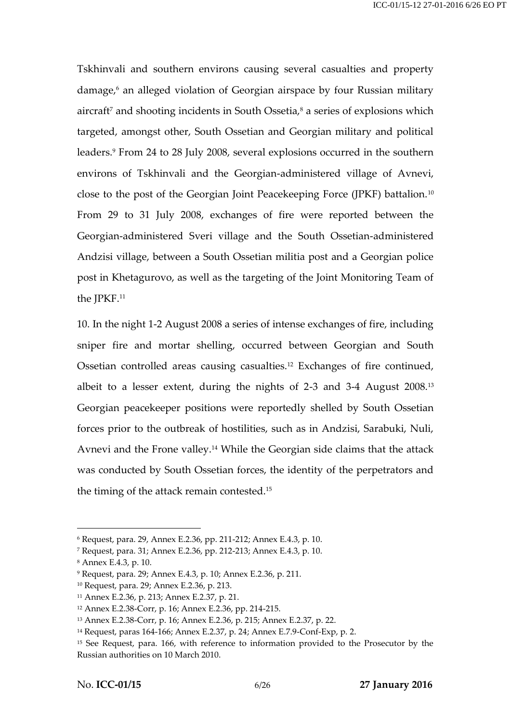Tskhinvali and southern environs causing several casualties and property damage,<sup>6</sup> an alleged violation of Georgian airspace by four Russian military aircraft<sup>7</sup> and shooting incidents in South Ossetia, $\frac{8}{3}$  a series of explosions which targeted, amongst other, South Ossetian and Georgian military and political leaders.<sup>9</sup> From 24 to 28 July 2008, several explosions occurred in the southern environs of Tskhinvali and the Georgian-administered village of Avnevi, close to the post of the Georgian Joint Peacekeeping Force (JPKF) battalion.<sup>10</sup> From 29 to 31 July 2008, exchanges of fire were reported between the Georgian-administered Sveri village and the South Ossetian-administered Andzisi village, between a South Ossetian militia post and a Georgian police post in Khetagurovo, as well as the targeting of the Joint Monitoring Team of the JPKF.<sup>11</sup>

10. In the night 1-2 August 2008 a series of intense exchanges of fire, including sniper fire and mortar shelling, occurred between Georgian and South Ossetian controlled areas causing casualties.<sup>12</sup> Exchanges of fire continued, albeit to a lesser extent, during the nights of 2-3 and 3-4 August 2008.<sup>13</sup> Georgian peacekeeper positions were reportedly shelled by South Ossetian forces prior to the outbreak of hostilities, such as in Andzisi, Sarabuki, Nuli, Avnevi and the Frone valley.<sup>14</sup> While the Georgian side claims that the attack was conducted by South Ossetian forces, the identity of the perpetrators and the timing of the attack remain contested.<sup>15</sup>

<sup>6</sup> Request, para. 29, Annex E.2.36, pp. 211-212; Annex E.4.3, p. 10.

<sup>7</sup> Request, para. 31; Annex E.2.36, pp. 212-213; Annex E.4.3, p. 10.

<sup>8</sup> Annex E.4.3, p. 10.

<sup>9</sup> Request, para. 29; Annex E.4.3, p. 10; Annex E.2.36, p. 211.

<sup>10</sup> Request, para. 29; Annex E.2.36, p. 213.

<sup>11</sup> Annex E.2.36, p. 213; Annex E.2.37, p. 21.

<sup>12</sup> Annex E.2.38-Corr, p. 16; Annex E.2.36, pp. 214-215.

<sup>13</sup> Annex E.2.38-Corr, p. 16; Annex E.2.36, p. 215; Annex E.2.37, p. 22.

<sup>14</sup> Request, paras 164-166; Annex E.2.37, p. 24; Annex E.7.9-Conf-Exp, p. 2.

<sup>15</sup> See Request, para. 166, with reference to information provided to the Prosecutor by the Russian authorities on 10 March 2010.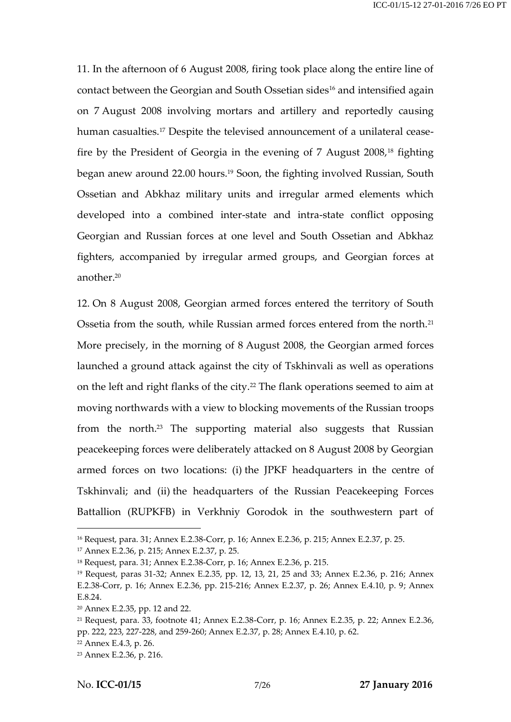11. In the afternoon of 6 August 2008, firing took place along the entire line of contact between the Georgian and South Ossetian sides<sup>16</sup> and intensified again on 7 August 2008 involving mortars and artillery and reportedly causing human casualties.<sup>17</sup> Despite the televised announcement of a unilateral ceasefire by the President of Georgia in the evening of 7 August 2008,<sup>18</sup> fighting began anew around 22.00 hours. <sup>19</sup> Soon, the fighting involved Russian, South Ossetian and Abkhaz military units and irregular armed elements which developed into a combined inter-state and intra-state conflict opposing Georgian and Russian forces at one level and South Ossetian and Abkhaz fighters, accompanied by irregular armed groups, and Georgian forces at another.<sup>20</sup>

12. On 8 August 2008, Georgian armed forces entered the territory of South Ossetia from the south, while Russian armed forces entered from the north.<sup>21</sup> More precisely, in the morning of 8 August 2008, the Georgian armed forces launched a ground attack against the city of Tskhinvali as well as operations on the left and right flanks of the city.<sup>22</sup> The flank operations seemed to aim at moving northwards with a view to blocking movements of the Russian troops from the north.<sup>23</sup> The supporting material also suggests that Russian peacekeeping forces were deliberately attacked on 8 August 2008 by Georgian armed forces on two locations: (i) the JPKF headquarters in the centre of Tskhinvali; and (ii) the headquarters of the Russian Peacekeeping Forces Battallion (RUPKFB) in Verkhniy Gorodok in the southwestern part of

<sup>16</sup> Request, para. 31; Annex E.2.38-Corr, p. 16; Annex E.2.36, p. 215; Annex E.2.37, p. 25.

<sup>17</sup> Annex E.2.36, p. 215; Annex E.2.37, p. 25.

<sup>18</sup> Request, para. 31; Annex E.2.38-Corr, p. 16; Annex E.2.36, p. 215.

<sup>19</sup> Request, paras 31-32; Annex E.2.35, pp. 12, 13, 21, 25 and 33; Annex E.2.36, p. 216; Annex E.2.38-Corr, p. 16; Annex E.2.36, pp. 215-216; Annex E.2.37, p. 26; Annex E.4.10, p. 9; Annex E.8.24.

<sup>20</sup> Annex E.2.35, pp. 12 and 22.

<sup>21</sup> Request, para. 33, footnote 41; Annex E.2.38-Corr, p. 16; Annex E.2.35, p. 22; Annex E.2.36, pp. 222, 223, 227-228, and 259-260; Annex E.2.37, p. 28; Annex E.4.10, p. 62.

<sup>22</sup> Annex E.4.3, p. 26.

<sup>23</sup> Annex E.2.36, p. 216.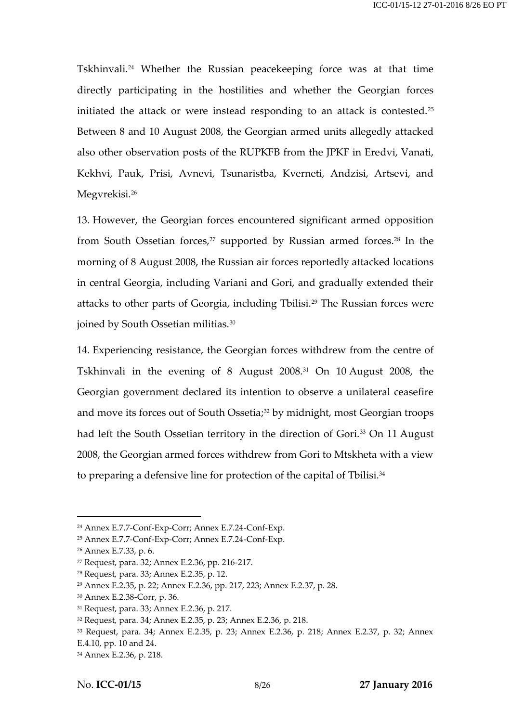Tskhinvali.<sup>24</sup> Whether the Russian peacekeeping force was at that time directly participating in the hostilities and whether the Georgian forces initiated the attack or were instead responding to an attack is contested.<sup>25</sup> Between 8 and 10 August 2008, the Georgian armed units allegedly attacked also other observation posts of the RUPKFB from the JPKF in Eredvi, Vanati, Kekhvi, Pauk, Prisi, Avnevi, Tsunaristba, Kverneti, Andzisi, Artsevi, and Megvrekisi. 26

13. However, the Georgian forces encountered significant armed opposition from South Ossetian forces, $27$  supported by Russian armed forces. $28$  In the morning of 8 August 2008, the Russian air forces reportedly attacked locations in central Georgia, including Variani and Gori, and gradually extended their attacks to other parts of Georgia, including Tbilisi.<sup>29</sup> The Russian forces were joined by South Ossetian militias.<sup>30</sup>

14. Experiencing resistance, the Georgian forces withdrew from the centre of Tskhinvali in the evening of 8 August 2008.<sup>31</sup> On 10 August 2008, the Georgian government declared its intention to observe a unilateral ceasefire and move its forces out of South Ossetia;<sup>32</sup> by midnight, most Georgian troops had left the South Ossetian territory in the direction of Gori.<sup>33</sup> On 11 August 2008, the Georgian armed forces withdrew from Gori to Mtskheta with a view to preparing a defensive line for protection of the capital of Tbilisi.<sup>34</sup>

<sup>24</sup> Annex E.7.7-Conf-Exp-Corr; Annex E.7.24-Conf-Exp.

<sup>25</sup> Annex E.7.7-Conf-Exp-Corr; Annex E.7.24-Conf-Exp.

<sup>26</sup> Annex E.7.33, p. 6.

<sup>27</sup> Request, para. 32; Annex E.2.36, pp. 216-217.

<sup>28</sup> Request, para. 33; Annex E.2.35, p. 12.

<sup>29</sup> Annex E.2.35, p. 22; Annex E.2.36, pp. 217, 223; Annex E.2.37, p. 28.

<sup>30</sup> Annex E.2.38-Corr, p. 36.

<sup>31</sup> Request, para. 33; Annex E.2.36, p. 217.

<sup>32</sup> Request, para. 34; Annex E.2.35, p. 23; Annex E.2.36, p. 218.

<sup>33</sup> Request, para. 34; Annex E.2.35, p. 23; Annex E.2.36, p. 218; Annex E.2.37, p. 32; Annex

E.4.10, pp. 10 and 24.

<sup>34</sup> Annex E.2.36, p. 218.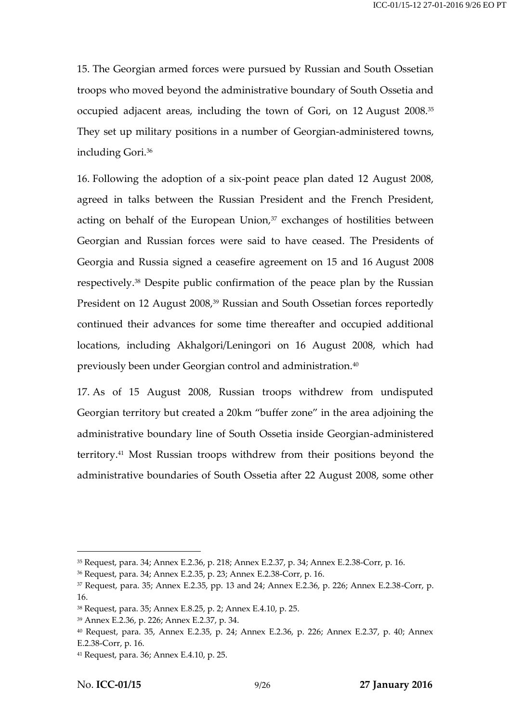15. The Georgian armed forces were pursued by Russian and South Ossetian troops who moved beyond the administrative boundary of South Ossetia and occupied adjacent areas, including the town of Gori, on 12 August 2008.<sup>35</sup> They set up military positions in a number of Georgian-administered towns, including Gori.<sup>36</sup>

16. Following the adoption of a six-point peace plan dated 12 August 2008, agreed in talks between the Russian President and the French President, acting on behalf of the European Union, $37$  exchanges of hostilities between Georgian and Russian forces were said to have ceased. The Presidents of Georgia and Russia signed a ceasefire agreement on 15 and 16 August 2008 respectively.<sup>38</sup> Despite public confirmation of the peace plan by the Russian President on 12 August 2008,<sup>39</sup> Russian and South Ossetian forces reportedly continued their advances for some time thereafter and occupied additional locations, including Akhalgori/Leningori on 16 August 2008, which had previously been under Georgian control and administration.<sup>40</sup>

17. As of 15 August 2008, Russian troops withdrew from undisputed Georgian territory but created a 20km "buffer zone" in the area adjoining the administrative boundary line of South Ossetia inside Georgian-administered territory.<sup>41</sup> Most Russian troops withdrew from their positions beyond the administrative boundaries of South Ossetia after 22 August 2008, some other

<sup>35</sup> Request, para. 34; Annex E.2.36, p. 218; Annex E.2.37, p. 34; Annex E.2.38-Corr, p. 16.

<sup>36</sup> Request, para. 34; Annex E.2.35, p. 23; Annex E.2.38-Corr, p. 16.

<sup>37</sup> Request, para. 35; Annex E.2.35, pp. 13 and 24; Annex E.2.36, p. 226; Annex E.2.38-Corr, p. 16.

<sup>38</sup> Request, para. 35; Annex E.8.25, p. 2; Annex E.4.10, p. 25.

<sup>39</sup> Annex E.2.36, p. 226; Annex E.2.37, p. 34.

<sup>40</sup> Request, para. 35, Annex E.2.35, p. 24; Annex E.2.36, p. 226; Annex E.2.37, p. 40; Annex E.2.38-Corr, p. 16.

<sup>41</sup> Request, para. 36; Annex E.4.10, p. 25.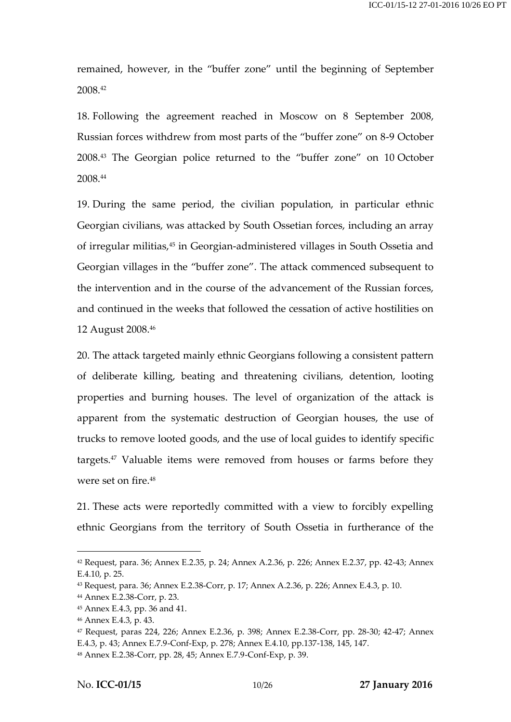remained, however, in the "buffer zone" until the beginning of September 2008.<sup>42</sup>

18. Following the agreement reached in Moscow on 8 September 2008, Russian forces withdrew from most parts of the "buffer zone" on 8-9 October 2008.<sup>43</sup> The Georgian police returned to the "buffer zone" on 10 October 2008.<sup>44</sup>

19. During the same period, the civilian population, in particular ethnic Georgian civilians, was attacked by South Ossetian forces, including an array of irregular militias,<sup>45</sup> in Georgian-administered villages in South Ossetia and Georgian villages in the "buffer zone". The attack commenced subsequent to the intervention and in the course of the advancement of the Russian forces, and continued in the weeks that followed the cessation of active hostilities on 12 August 2008.<sup>46</sup>

20. The attack targeted mainly ethnic Georgians following a consistent pattern of deliberate killing, beating and threatening civilians, detention, looting properties and burning houses. The level of organization of the attack is apparent from the systematic destruction of Georgian houses, the use of trucks to remove looted goods, and the use of local guides to identify specific targets.<sup>47</sup> Valuable items were removed from houses or farms before they were set on fire.<sup>48</sup>

21. These acts were reportedly committed with a view to forcibly expelling ethnic Georgians from the territory of South Ossetia in furtherance of the

<sup>42</sup> Request, para. 36; Annex E.2.35, p. 24; Annex A.2.36, p. 226; Annex E.2.37, pp. 42-43; Annex E.4.10, p. 25.

<sup>43</sup> Request, para. 36; Annex E.2.38-Corr, p. 17; Annex A.2.36, p. 226; Annex E.4.3, p. 10.

<sup>44</sup> Annex E.2.38-Corr, p. 23.

<sup>45</sup> Annex E.4.3, pp. 36 and 41.

<sup>46</sup> Annex E.4.3, p. 43.

<sup>47</sup> Request, paras 224, 226; Annex E.2.36, p. 398; Annex E.2.38-Corr, pp. 28-30; 42-47; Annex E.4.3, p. 43; Annex E.7.9-Conf-Exp, p. 278; Annex E.4.10, pp.137-138, 145, 147.

<sup>48</sup> Annex E.2.38-Corr, pp. 28, 45; Annex E.7.9-Conf-Exp, p. 39.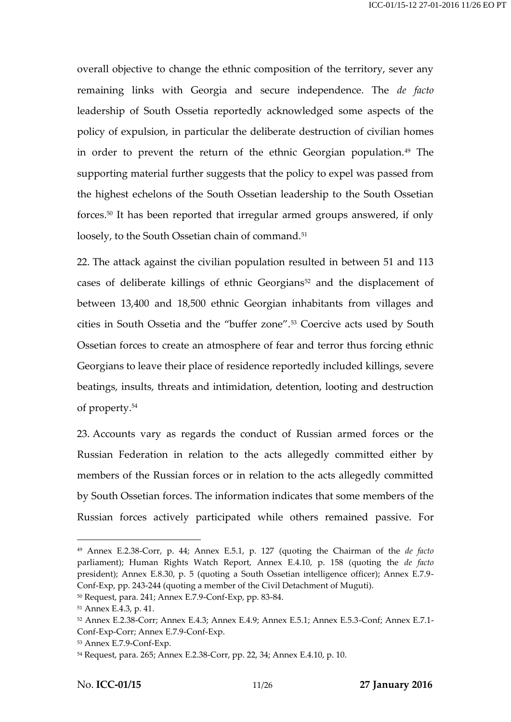overall objective to change the ethnic composition of the territory, sever any remaining links with Georgia and secure independence. The *de facto* leadership of South Ossetia reportedly acknowledged some aspects of the policy of expulsion, in particular the deliberate destruction of civilian homes in order to prevent the return of the ethnic Georgian population.<sup>49</sup> The supporting material further suggests that the policy to expel was passed from the highest echelons of the South Ossetian leadership to the South Ossetian forces.<sup>50</sup> It has been reported that irregular armed groups answered, if only loosely, to the South Ossetian chain of command.<sup>51</sup>

22. The attack against the civilian population resulted in between 51 and 113 cases of deliberate killings of ethnic Georgians<sup>52</sup> and the displacement of between 13,400 and 18,500 ethnic Georgian inhabitants from villages and cities in South Ossetia and the "buffer zone".<sup>53</sup> Coercive acts used by South Ossetian forces to create an atmosphere of fear and terror thus forcing ethnic Georgians to leave their place of residence reportedly included killings, severe beatings, insults, threats and intimidation, detention, looting and destruction of property.<sup>54</sup>

23. Accounts vary as regards the conduct of Russian armed forces or the Russian Federation in relation to the acts allegedly committed either by members of the Russian forces or in relation to the acts allegedly committed by South Ossetian forces. The information indicates that some members of the Russian forces actively participated while others remained passive. For

<sup>49</sup> Annex E.2.38-Corr, p. 44; Annex E.5.1, p. 127 (quoting the Chairman of the *de facto* parliament); Human Rights Watch Report, Annex E.4.10, p. 158 (quoting the *de facto* president); Annex E.8.30, p. 5 (quoting a South Ossetian intelligence officer); Annex E.7.9- Conf-Exp, pp. 243-244 (quoting a member of the Civil Detachment of Muguti).

<sup>50</sup> Request, para. 241; Annex E.7.9-Conf-Exp, pp. 83-84.

<sup>51</sup> Annex E.4.3, p. 41.

<sup>52</sup> Annex E.2.38-Corr; Annex E.4.3; Annex E.4.9; Annex E.5.1; Annex E.5.3-Conf; Annex E.7.1- Conf-Exp-Corr; Annex E.7.9-Conf-Exp.

<sup>53</sup> Annex E.7.9-Conf-Exp.

<sup>54</sup> Request, para. 265; Annex E.2.38-Corr, pp. 22, 34; Annex E.4.10, p. 10.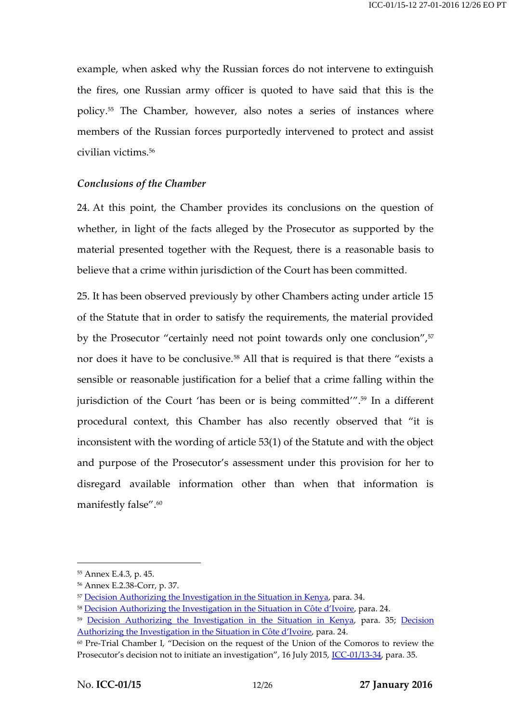example, when asked why the Russian forces do not intervene to extinguish the fires, one Russian army officer is quoted to have said that this is the policy.<sup>55</sup> The Chamber, however, also notes a series of instances where members of the Russian forces purportedly intervened to protect and assist civilian victims.<sup>56</sup>

#### *Conclusions of the Chamber*

24. At this point, the Chamber provides its conclusions on the question of whether, in light of the facts alleged by the Prosecutor as supported by the material presented together with the Request, there is a reasonable basis to believe that a crime within jurisdiction of the Court has been committed.

25. It has been observed previously by other Chambers acting under article 15 of the Statute that in order to satisfy the requirements, the material provided by the Prosecutor "certainly need not point towards only one conclusion",<sup>57</sup> nor does it have to be conclusive.<sup>58</sup> All that is required is that there "exists a sensible or reasonable justification for a belief that a crime falling within the jurisdiction of the Court 'has been or is being committed'".<sup>59</sup> In a different procedural context, this Chamber has also recently observed that "it is inconsistent with the wording of article 53(1) of the Statute and with the object and purpose of the Prosecutor's assessment under this provision for her to disregard available information other than when that information is manifestly false".<sup>60</sup>

<sup>55</sup> Annex E.4.3, p. 45.

<sup>56</sup> Annex E.2.38-Corr, p. 37.

<sup>&</sup>lt;sup>57</sup> [Decision Authorizing the Investigation in the Situation in Kenya,](http://www.legal-tools.org/doc/f0caaf/) para. 34.

<sup>58</sup> [Decision Authorizing the Investigation in the Situation in](http://www.legal-tools.org/doc/e0c0eb/) Côte d'Ivoire, para. 24.

<sup>&</sup>lt;sup>59</sup> [Decision Authorizing the Investigation](http://www.legal-tools.org/doc/f0caaf/) in the Situation in Kenya, para. 35; Decision [Authorizing the Investigation in](http://www.legal-tools.org/doc/e0c0eb/) the Situation in Côte d'Ivoire, para. 24.

<sup>60</sup> Pre-Trial Chamber I, "Decision on the request of the Union of the Comoros to review the Prosecutor's decision not to initiate an investigation", 16 July 2015, [ICC-01/13-34,](http://www.legal-tools.org/doc/2f876c/) para. 35.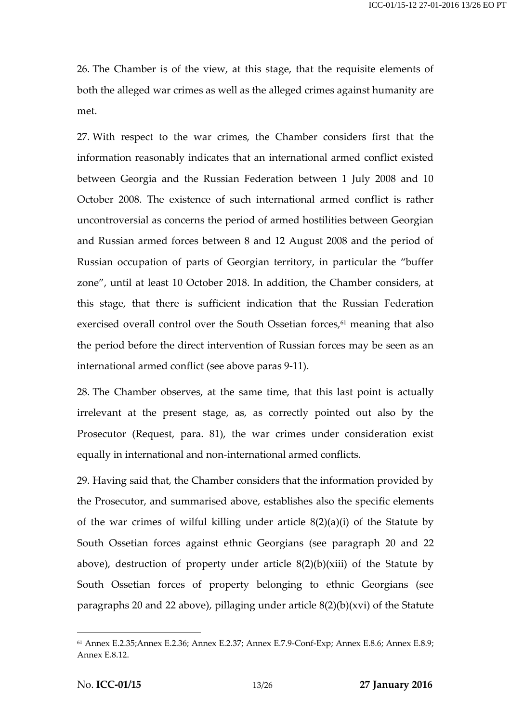26. The Chamber is of the view, at this stage, that the requisite elements of both the alleged war crimes as well as the alleged crimes against humanity are met.

27. With respect to the war crimes, the Chamber considers first that the information reasonably indicates that an international armed conflict existed between Georgia and the Russian Federation between 1 July 2008 and 10 October 2008. The existence of such international armed conflict is rather uncontroversial as concerns the period of armed hostilities between Georgian and Russian armed forces between 8 and 12 August 2008 and the period of Russian occupation of parts of Georgian territory, in particular the "buffer zone", until at least 10 October 2018. In addition, the Chamber considers, at this stage, that there is sufficient indication that the Russian Federation exercised overall control over the South Ossetian forces, <sup>61</sup> meaning that also the period before the direct intervention of Russian forces may be seen as an international armed conflict (see above paras 9-11).

28. The Chamber observes, at the same time, that this last point is actually irrelevant at the present stage, as, as correctly pointed out also by the Prosecutor (Request, para. 81), the war crimes under consideration exist equally in international and non-international armed conflicts.

29. Having said that, the Chamber considers that the information provided by the Prosecutor, and summarised above, establishes also the specific elements of the war crimes of wilful killing under article 8(2)(a)(i) of the Statute by South Ossetian forces against ethnic Georgians (see paragraph 20 and 22 above), destruction of property under article  $8(2)(b)(xiii)$  of the Statute by South Ossetian forces of property belonging to ethnic Georgians (see paragraphs 20 and 22 above), pillaging under article 8(2)(b)(xvi) of the Statute

<sup>61</sup> Annex E.2.35;Annex E.2.36; Annex E.2.37; Annex E.7.9-Conf-Exp; Annex E.8.6; Annex E.8.9; Annex E.8.12.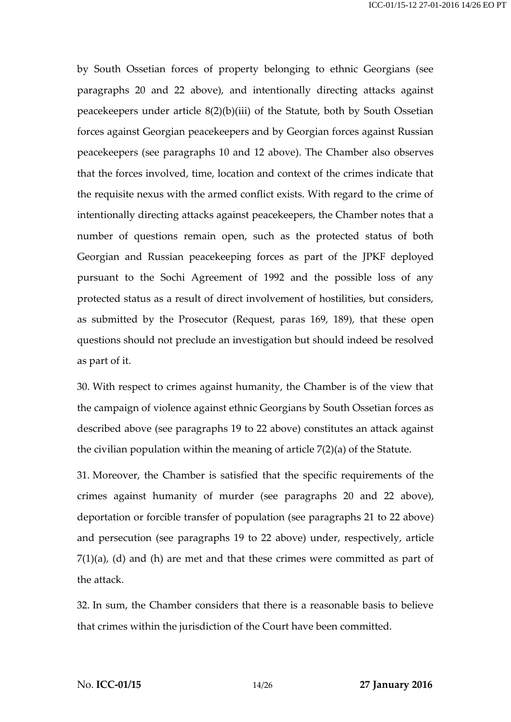by South Ossetian forces of property belonging to ethnic Georgians (see paragraphs 20 and 22 above), and intentionally directing attacks against peacekeepers under article 8(2)(b)(iii) of the Statute, both by South Ossetian forces against Georgian peacekeepers and by Georgian forces against Russian peacekeepers (see paragraphs 10 and 12 above). The Chamber also observes that the forces involved, time, location and context of the crimes indicate that the requisite nexus with the armed conflict exists. With regard to the crime of intentionally directing attacks against peacekeepers, the Chamber notes that a number of questions remain open, such as the protected status of both Georgian and Russian peacekeeping forces as part of the JPKF deployed pursuant to the Sochi Agreement of 1992 and the possible loss of any protected status as a result of direct involvement of hostilities, but considers, as submitted by the Prosecutor (Request, paras 169, 189), that these open questions should not preclude an investigation but should indeed be resolved as part of it.

30. With respect to crimes against humanity, the Chamber is of the view that the campaign of violence against ethnic Georgians by South Ossetian forces as described above (see paragraphs 19 to 22 above) constitutes an attack against the civilian population within the meaning of article 7(2)(a) of the Statute.

31. Moreover, the Chamber is satisfied that the specific requirements of the crimes against humanity of murder (see paragraphs 20 and 22 above), deportation or forcible transfer of population (see paragraphs 21 to 22 above) and persecution (see paragraphs 19 to 22 above) under, respectively, article  $7(1)(a)$ , (d) and (h) are met and that these crimes were committed as part of the attack.

32. In sum, the Chamber considers that there is a reasonable basis to believe that crimes within the jurisdiction of the Court have been committed.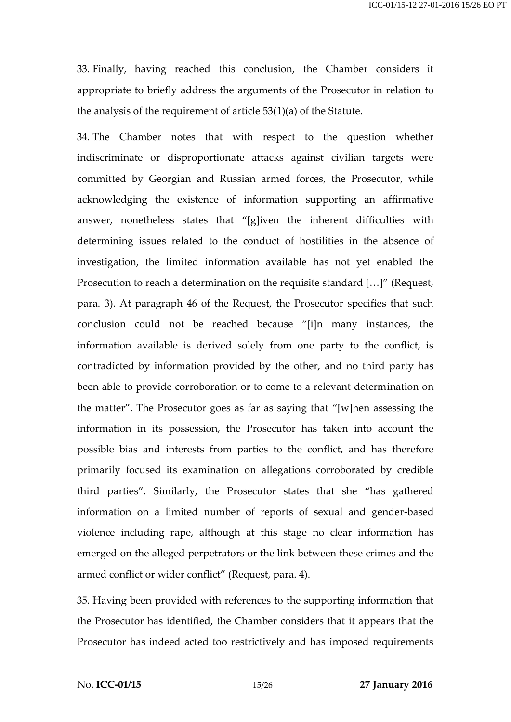33. Finally, having reached this conclusion, the Chamber considers it appropriate to briefly address the arguments of the Prosecutor in relation to the analysis of the requirement of article 53(1)(a) of the Statute.

34. The Chamber notes that with respect to the question whether indiscriminate or disproportionate attacks against civilian targets were committed by Georgian and Russian armed forces, the Prosecutor, while acknowledging the existence of information supporting an affirmative answer, nonetheless states that "[g]iven the inherent difficulties with determining issues related to the conduct of hostilities in the absence of investigation, the limited information available has not yet enabled the Prosecution to reach a determination on the requisite standard […]" (Request, para. 3). At paragraph 46 of the Request, the Prosecutor specifies that such conclusion could not be reached because "[i]n many instances, the information available is derived solely from one party to the conflict, is contradicted by information provided by the other, and no third party has been able to provide corroboration or to come to a relevant determination on the matter". The Prosecutor goes as far as saying that "[w]hen assessing the information in its possession, the Prosecutor has taken into account the possible bias and interests from parties to the conflict, and has therefore primarily focused its examination on allegations corroborated by credible third parties". Similarly, the Prosecutor states that she "has gathered information on a limited number of reports of sexual and gender-based violence including rape, although at this stage no clear information has emerged on the alleged perpetrators or the link between these crimes and the armed conflict or wider conflict" (Request, para. 4).

35. Having been provided with references to the supporting information that the Prosecutor has identified, the Chamber considers that it appears that the Prosecutor has indeed acted too restrictively and has imposed requirements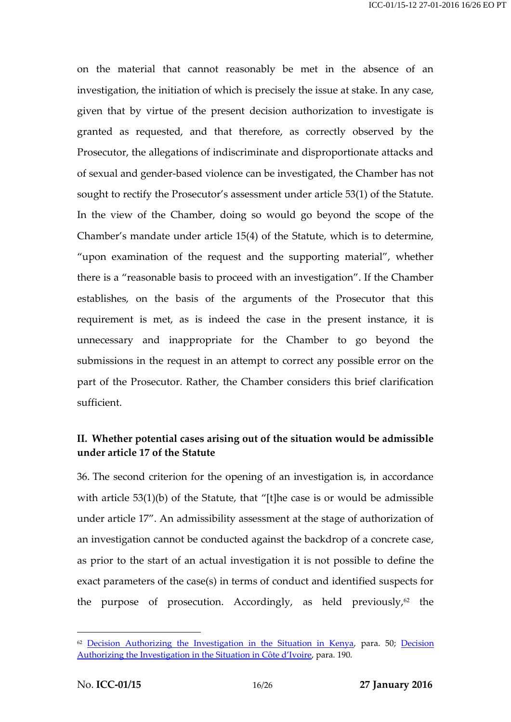on the material that cannot reasonably be met in the absence of an investigation, the initiation of which is precisely the issue at stake. In any case, given that by virtue of the present decision authorization to investigate is granted as requested, and that therefore, as correctly observed by the Prosecutor, the allegations of indiscriminate and disproportionate attacks and of sexual and gender-based violence can be investigated, the Chamber has not sought to rectify the Prosecutor's assessment under article 53(1) of the Statute. In the view of the Chamber, doing so would go beyond the scope of the Chamber's mandate under article 15(4) of the Statute, which is to determine, "upon examination of the request and the supporting material", whether there is a "reasonable basis to proceed with an investigation". If the Chamber establishes, on the basis of the arguments of the Prosecutor that this requirement is met, as is indeed the case in the present instance, it is unnecessary and inappropriate for the Chamber to go beyond the submissions in the request in an attempt to correct any possible error on the part of the Prosecutor. Rather, the Chamber considers this brief clarification sufficient.

### **II. Whether potential cases arising out of the situation would be admissible under article 17 of the Statute**

36. The second criterion for the opening of an investigation is, in accordance with article 53(1)(b) of the Statute, that "[t]he case is or would be admissible under article 17". An admissibility assessment at the stage of authorization of an investigation cannot be conducted against the backdrop of a concrete case, as prior to the start of an actual investigation it is not possible to define the exact parameters of the case(s) in terms of conduct and identified suspects for the purpose of prosecution. Accordingly, as held previously, $62$  the

 $62$  [Decision Authorizing the Investigation in the Situation in Kenya,](http://www.legal-tools.org/doc/f0caaf/) para. 50; Decision [Authorizing the Investigation in the Situation in](http://www.legal-tools.org/doc/e0c0eb/) Côte d'Ivoire, para. 190.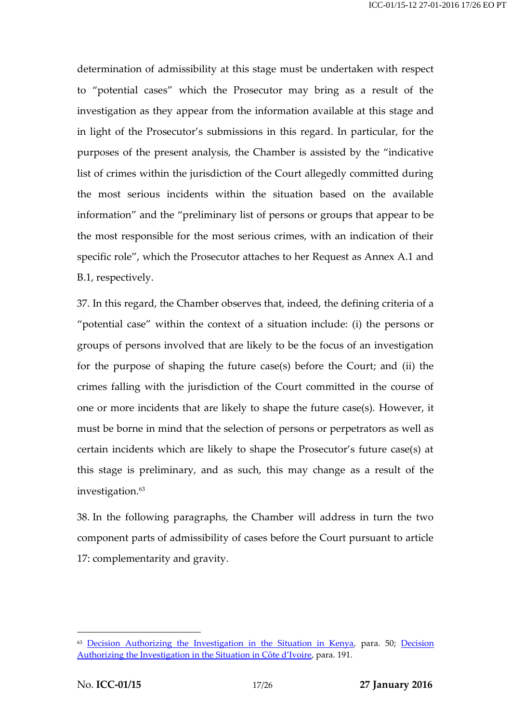determination of admissibility at this stage must be undertaken with respect to "potential cases" which the Prosecutor may bring as a result of the investigation as they appear from the information available at this stage and in light of the Prosecutor's submissions in this regard. In particular, for the purposes of the present analysis, the Chamber is assisted by the "indicative list of crimes within the jurisdiction of the Court allegedly committed during the most serious incidents within the situation based on the available information" and the "preliminary list of persons or groups that appear to be the most responsible for the most serious crimes, with an indication of their specific role", which the Prosecutor attaches to her Request as Annex A.1 and B.1, respectively.

37. In this regard, the Chamber observes that, indeed, the defining criteria of a "potential case" within the context of a situation include: (i) the persons or groups of persons involved that are likely to be the focus of an investigation for the purpose of shaping the future case(s) before the Court; and (ii) the crimes falling with the jurisdiction of the Court committed in the course of one or more incidents that are likely to shape the future case(s). However, it must be borne in mind that the selection of persons or perpetrators as well as certain incidents which are likely to shape the Prosecutor's future case(s) at this stage is preliminary, and as such, this may change as a result of the investigation. 63

38. In the following paragraphs, the Chamber will address in turn the two component parts of admissibility of cases before the Court pursuant to article 17: complementarity and gravity.

<sup>&</sup>lt;sup>63</sup> [Decision Authorizing the Investigation in the Situation in Kenya,](http://www.legal-tools.org/doc/f0caaf/) para. 50; Decision [Authorizing the Investigation in the Situation in](http://www.legal-tools.org/doc/e0c0eb/) Côte d'Ivoire, para. 191.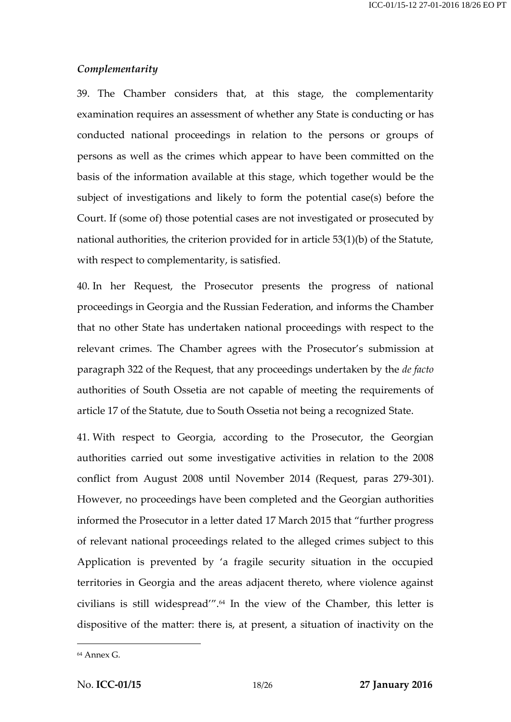#### *Complementarity*

39. The Chamber considers that, at this stage, the complementarity examination requires an assessment of whether any State is conducting or has conducted national proceedings in relation to the persons or groups of persons as well as the crimes which appear to have been committed on the basis of the information available at this stage, which together would be the subject of investigations and likely to form the potential case(s) before the Court. If (some of) those potential cases are not investigated or prosecuted by national authorities, the criterion provided for in article 53(1)(b) of the Statute, with respect to complementarity, is satisfied.

40. In her Request, the Prosecutor presents the progress of national proceedings in Georgia and the Russian Federation, and informs the Chamber that no other State has undertaken national proceedings with respect to the relevant crimes. The Chamber agrees with the Prosecutor's submission at paragraph 322 of the Request, that any proceedings undertaken by the *de facto* authorities of South Ossetia are not capable of meeting the requirements of article 17 of the Statute, due to South Ossetia not being a recognized State.

41. With respect to Georgia, according to the Prosecutor, the Georgian authorities carried out some investigative activities in relation to the 2008 conflict from August 2008 until November 2014 (Request, paras 279-301). However, no proceedings have been completed and the Georgian authorities informed the Prosecutor in a letter dated 17 March 2015 that "further progress of relevant national proceedings related to the alleged crimes subject to this Application is prevented by 'a fragile security situation in the occupied territories in Georgia and the areas adjacent thereto, where violence against civilians is still widespread'".<sup>64</sup> In the view of the Chamber, this letter is dispositive of the matter: there is, at present, a situation of inactivity on the

<sup>64</sup> Annex G.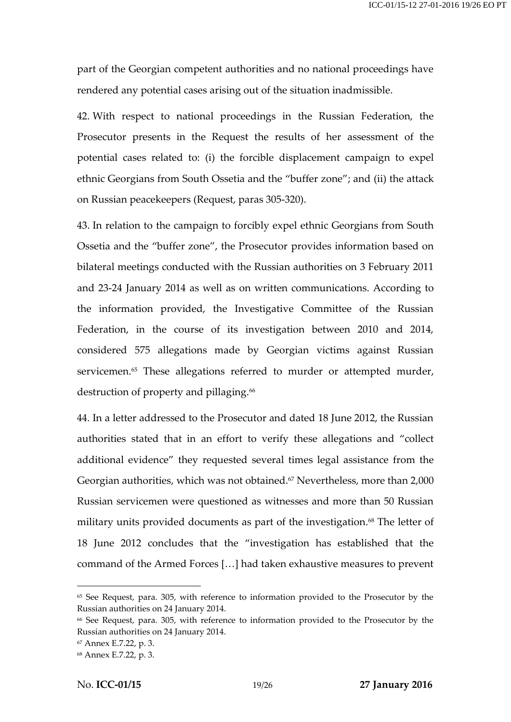part of the Georgian competent authorities and no national proceedings have rendered any potential cases arising out of the situation inadmissible.

42. With respect to national proceedings in the Russian Federation, the Prosecutor presents in the Request the results of her assessment of the potential cases related to: (i) the forcible displacement campaign to expel ethnic Georgians from South Ossetia and the "buffer zone"; and (ii) the attack on Russian peacekeepers (Request, paras 305-320).

43. In relation to the campaign to forcibly expel ethnic Georgians from South Ossetia and the "buffer zone", the Prosecutor provides information based on bilateral meetings conducted with the Russian authorities on 3 February 2011 and 23-24 January 2014 as well as on written communications. According to the information provided, the Investigative Committee of the Russian Federation, in the course of its investigation between 2010 and 2014, considered 575 allegations made by Georgian victims against Russian servicemen.<sup>65</sup> These allegations referred to murder or attempted murder, destruction of property and pillaging.<sup>66</sup>

44. In a letter addressed to the Prosecutor and dated 18 June 2012, the Russian authorities stated that in an effort to verify these allegations and "collect additional evidence" they requested several times legal assistance from the Georgian authorities, which was not obtained. $\mathrm{^{67}}$  Nevertheless, more than 2,000 Russian servicemen were questioned as witnesses and more than 50 Russian military units provided documents as part of the investigation. <sup>68</sup> The letter of 18 June 2012 concludes that the "investigation has established that the command of the Armed Forces […] had taken exhaustive measures to prevent

<sup>65</sup> See Request, para. 305, with reference to information provided to the Prosecutor by the Russian authorities on 24 January 2014.

<sup>66</sup> See Request, para. 305, with reference to information provided to the Prosecutor by the Russian authorities on 24 January 2014.

<sup>67</sup> Annex E.7.22, p. 3.

<sup>68</sup> Annex E.7.22, p. 3.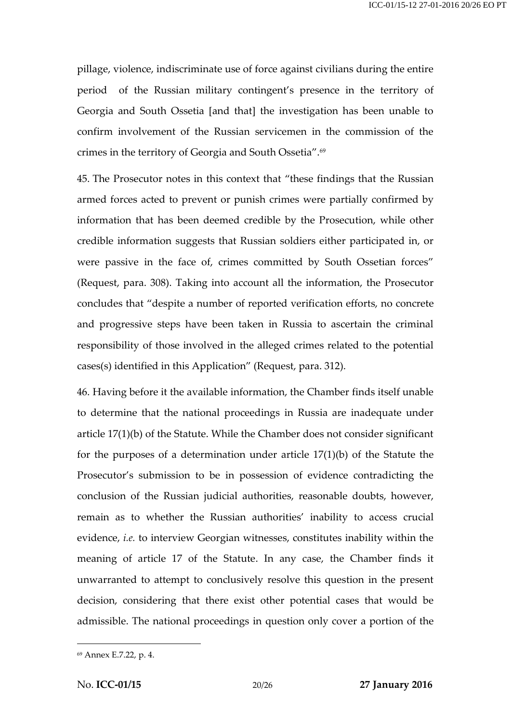pillage, violence, indiscriminate use of force against civilians during the entire period of the Russian military contingent's presence in the territory of Georgia and South Ossetia [and that] the investigation has been unable to confirm involvement of the Russian servicemen in the commission of the crimes in the territory of Georgia and South Ossetia".<sup>69</sup>

45. The Prosecutor notes in this context that "these findings that the Russian armed forces acted to prevent or punish crimes were partially confirmed by information that has been deemed credible by the Prosecution, while other credible information suggests that Russian soldiers either participated in, or were passive in the face of, crimes committed by South Ossetian forces" (Request, para. 308). Taking into account all the information, the Prosecutor concludes that "despite a number of reported verification efforts, no concrete and progressive steps have been taken in Russia to ascertain the criminal responsibility of those involved in the alleged crimes related to the potential cases(s) identified in this Application" (Request, para. 312).

46. Having before it the available information, the Chamber finds itself unable to determine that the national proceedings in Russia are inadequate under article 17(1)(b) of the Statute. While the Chamber does not consider significant for the purposes of a determination under article 17(1)(b) of the Statute the Prosecutor's submission to be in possession of evidence contradicting the conclusion of the Russian judicial authorities, reasonable doubts, however, remain as to whether the Russian authorities' inability to access crucial evidence, *i.e.* to interview Georgian witnesses, constitutes inability within the meaning of article 17 of the Statute. In any case, the Chamber finds it unwarranted to attempt to conclusively resolve this question in the present decision, considering that there exist other potential cases that would be admissible. The national proceedings in question only cover a portion of the

<sup>69</sup> Annex E.7.22, p. 4.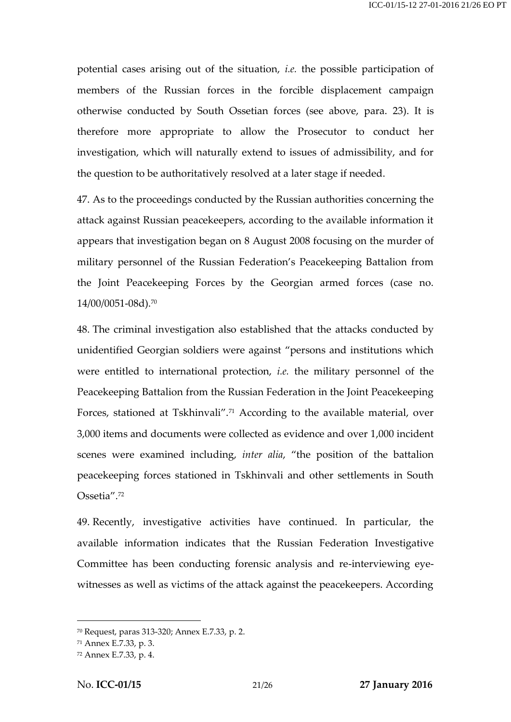potential cases arising out of the situation, *i.e.* the possible participation of members of the Russian forces in the forcible displacement campaign otherwise conducted by South Ossetian forces (see above, para. 23). It is therefore more appropriate to allow the Prosecutor to conduct her investigation, which will naturally extend to issues of admissibility, and for the question to be authoritatively resolved at a later stage if needed.

47. As to the proceedings conducted by the Russian authorities concerning the attack against Russian peacekeepers, according to the available information it appears that investigation began on 8 August 2008 focusing on the murder of military personnel of the Russian Federation's Peacekeeping Battalion from the Joint Peacekeeping Forces by the Georgian armed forces (case no. 14/00/0051-08d).<sup>70</sup>

48. The criminal investigation also established that the attacks conducted by unidentified Georgian soldiers were against "persons and institutions which were entitled to international protection, *i.e.* the military personnel of the Peacekeeping Battalion from the Russian Federation in the Joint Peacekeeping Forces, stationed at Tskhinvali".<sup>71</sup> According to the available material, over 3,000 items and documents were collected as evidence and over 1,000 incident scenes were examined including, *inter alia*, "the position of the battalion peacekeeping forces stationed in Tskhinvali and other settlements in South Ossetia".<sup>72</sup>

49. Recently, investigative activities have continued. In particular, the available information indicates that the Russian Federation Investigative Committee has been conducting forensic analysis and re-interviewing eyewitnesses as well as victims of the attack against the peacekeepers. According

<sup>70</sup> Request, paras 313-320; Annex E.7.33, p. 2.

<sup>71</sup> Annex E.7.33, p. 3.

<sup>72</sup> Annex E.7.33, p. 4.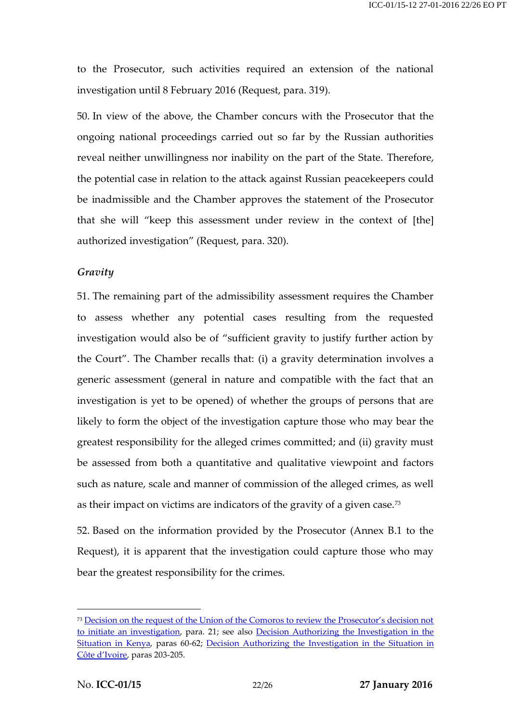to the Prosecutor, such activities required an extension of the national investigation until 8 February 2016 (Request, para. 319).

50. In view of the above, the Chamber concurs with the Prosecutor that the ongoing national proceedings carried out so far by the Russian authorities reveal neither unwillingness nor inability on the part of the State. Therefore, the potential case in relation to the attack against Russian peacekeepers could be inadmissible and the Chamber approves the statement of the Prosecutor that she will "keep this assessment under review in the context of [the] authorized investigation" (Request, para. 320).

#### *Gravity*

51. The remaining part of the admissibility assessment requires the Chamber to assess whether any potential cases resulting from the requested investigation would also be of "sufficient gravity to justify further action by the Court". The Chamber recalls that: (i) a gravity determination involves a generic assessment (general in nature and compatible with the fact that an investigation is yet to be opened) of whether the groups of persons that are likely to form the object of the investigation capture those who may bear the greatest responsibility for the alleged crimes committed; and (ii) gravity must be assessed from both a quantitative and qualitative viewpoint and factors such as nature, scale and manner of commission of the alleged crimes, as well as their impact on victims are indicators of the gravity of a given case.<sup>73</sup>

52. Based on the information provided by the Prosecutor (Annex B.1 to the Request), it is apparent that the investigation could capture those who may bear the greatest responsibility for the crimes.

<sup>&</sup>lt;sup>73</sup> [Decision on the request of the Union of the Comoros to review the Prosecutor's decision not](http://www.legal-tools.org/doc/2f876c/) [to initiate an investigation,](http://www.legal-tools.org/doc/2f876c/) para. 21; see also [Decision Authorizing the Investigation in the](http://www.legal-tools.org/doc/f0caaf/)  [Situation in Kenya,](http://www.legal-tools.org/doc/f0caaf/) paras 60-62; [Decision Authorizing the Investigation in the Situation in](http://www.legal-tools.org/doc/e0c0eb/)  [Côte d'Ivoire](http://www.legal-tools.org/doc/e0c0eb/), paras 203-205.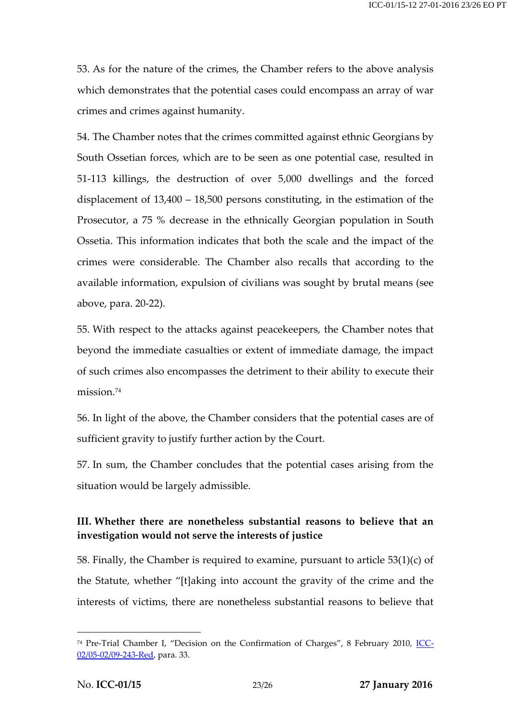53. As for the nature of the crimes, the Chamber refers to the above analysis which demonstrates that the potential cases could encompass an array of war crimes and crimes against humanity.

54. The Chamber notes that the crimes committed against ethnic Georgians by South Ossetian forces, which are to be seen as one potential case, resulted in 51-113 killings, the destruction of over 5,000 dwellings and the forced displacement of 13,400 – 18,500 persons constituting, in the estimation of the Prosecutor, a 75 % decrease in the ethnically Georgian population in South Ossetia. This information indicates that both the scale and the impact of the crimes were considerable. The Chamber also recalls that according to the available information, expulsion of civilians was sought by brutal means (see above, para. 20-22).

55. With respect to the attacks against peacekeepers, the Chamber notes that beyond the immediate casualties or extent of immediate damage, the impact of such crimes also encompasses the detriment to their ability to execute their mission.<sup>74</sup>

56. In light of the above, the Chamber considers that the potential cases are of sufficient gravity to justify further action by the Court.

57. In sum, the Chamber concludes that the potential cases arising from the situation would be largely admissible.

### **III. Whether there are nonetheless substantial reasons to believe that an investigation would not serve the interests of justice**

58. Finally, the Chamber is required to examine, pursuant to article  $53(1)(c)$  of the Statute, whether "[t]aking into account the gravity of the crime and the interests of victims, there are nonetheless substantial reasons to believe that

<sup>&</sup>lt;sup>74</sup> Pre-Trial Chamber I, "Decision on the Confirmation of Charges", 8 February 2010, *ICC*-[02/05-02/09-243-Red,](http://www.legal-tools.org/doc/cb3614/) para. 33.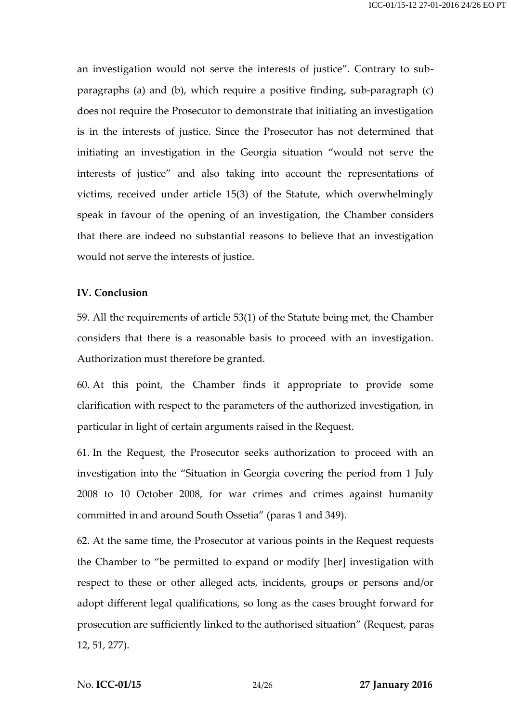an investigation would not serve the interests of justice". Contrary to subparagraphs (a) and (b), which require a positive finding, sub-paragraph (c) does not require the Prosecutor to demonstrate that initiating an investigation is in the interests of justice. Since the Prosecutor has not determined that initiating an investigation in the Georgia situation "would not serve the interests of justice" and also taking into account the representations of victims, received under article 15(3) of the Statute, which overwhelmingly speak in favour of the opening of an investigation, the Chamber considers that there are indeed no substantial reasons to believe that an investigation would not serve the interests of justice.

#### **IV. Conclusion**

59. All the requirements of article 53(1) of the Statute being met, the Chamber considers that there is a reasonable basis to proceed with an investigation. Authorization must therefore be granted.

60. At this point, the Chamber finds it appropriate to provide some clarification with respect to the parameters of the authorized investigation, in particular in light of certain arguments raised in the Request.

61. In the Request, the Prosecutor seeks authorization to proceed with an investigation into the "Situation in Georgia covering the period from 1 July 2008 to 10 October 2008, for war crimes and crimes against humanity committed in and around South Ossetia" (paras 1 and 349).

62. At the same time, the Prosecutor at various points in the Request requests the Chamber to "be permitted to expand or modify [her] investigation with respect to these or other alleged acts, incidents, groups or persons and/or adopt different legal qualifications, so long as the cases brought forward for prosecution are sufficiently linked to the authorised situation" (Request, paras 12, 51, 277).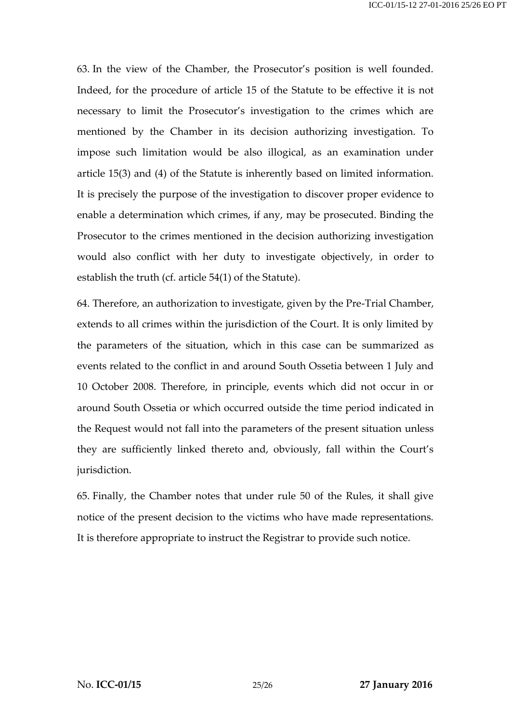63. In the view of the Chamber, the Prosecutor's position is well founded. Indeed, for the procedure of article 15 of the Statute to be effective it is not necessary to limit the Prosecutor's investigation to the crimes which are mentioned by the Chamber in its decision authorizing investigation. To impose such limitation would be also illogical, as an examination under article 15(3) and (4) of the Statute is inherently based on limited information. It is precisely the purpose of the investigation to discover proper evidence to enable a determination which crimes, if any, may be prosecuted. Binding the Prosecutor to the crimes mentioned in the decision authorizing investigation would also conflict with her duty to investigate objectively, in order to establish the truth (cf. article 54(1) of the Statute).

64. Therefore, an authorization to investigate, given by the Pre-Trial Chamber, extends to all crimes within the jurisdiction of the Court. It is only limited by the parameters of the situation, which in this case can be summarized as events related to the conflict in and around South Ossetia between 1 July and 10 October 2008. Therefore, in principle, events which did not occur in or around South Ossetia or which occurred outside the time period indicated in the Request would not fall into the parameters of the present situation unless they are sufficiently linked thereto and, obviously, fall within the Court's jurisdiction.

65. Finally, the Chamber notes that under rule 50 of the Rules, it shall give notice of the present decision to the victims who have made representations. It is therefore appropriate to instruct the Registrar to provide such notice.